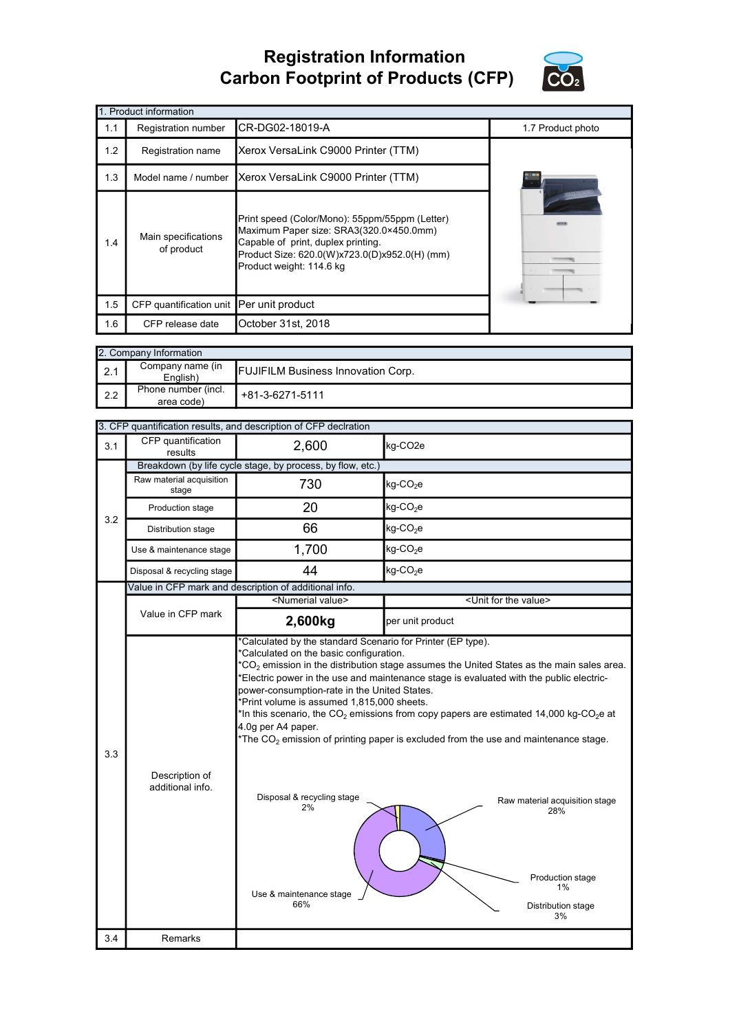## Registration Information Carbon Footprint of Products (CFP)



|     | 1. Product information                   |                                                                                                                                                                                                              |                   |  |  |  |
|-----|------------------------------------------|--------------------------------------------------------------------------------------------------------------------------------------------------------------------------------------------------------------|-------------------|--|--|--|
| 1.1 | Registration number                      | CR-DG02-18019-A                                                                                                                                                                                              | 1.7 Product photo |  |  |  |
| 1.2 | Registration name                        | Xerox VersaLink C9000 Printer (TTM)                                                                                                                                                                          |                   |  |  |  |
| 1.3 | Model name / number                      | Xerox VersaLink C9000 Printer (TTM)                                                                                                                                                                          |                   |  |  |  |
| 1.4 | Main specifications<br>of product        | Print speed (Color/Mono): 55ppm/55ppm (Letter)<br>Maximum Paper size: SRA3(320.0×450.0mm)<br>Capable of print, duplex printing.<br>Product Size: 620.0(W)x723.0(D)x952.0(H) (mm)<br>Product weight: 114.6 kg |                   |  |  |  |
| 1.5 | CFP quantification unit Per unit product |                                                                                                                                                                                                              |                   |  |  |  |
| 1.6 | CFP release date                         | October 31st, 2018                                                                                                                                                                                           |                   |  |  |  |

|             | 2. Company Information            |                                           |  |  |  |
|-------------|-----------------------------------|-------------------------------------------|--|--|--|
| $\vert$ 2.1 | Company name (in<br>English)      | <b>FUJIFILM Business Innovation Corp.</b> |  |  |  |
| 12.2        | Phone number (incl.<br>area code) | +81-3-6271-5111                           |  |  |  |

|     |                                    | 3. CFP quantification results, and description of CFP declration                                                                                                                       |                                                                                                                                                                                                                                                                                                                                                                                                                                                                                               |  |  |  |
|-----|------------------------------------|----------------------------------------------------------------------------------------------------------------------------------------------------------------------------------------|-----------------------------------------------------------------------------------------------------------------------------------------------------------------------------------------------------------------------------------------------------------------------------------------------------------------------------------------------------------------------------------------------------------------------------------------------------------------------------------------------|--|--|--|
| 3.1 | CFP quantification<br>results      | 2,600<br>kg-CO <sub>2e</sub>                                                                                                                                                           |                                                                                                                                                                                                                                                                                                                                                                                                                                                                                               |  |  |  |
|     |                                    | Breakdown (by life cycle stage, by process, by flow, etc.)                                                                                                                             |                                                                                                                                                                                                                                                                                                                                                                                                                                                                                               |  |  |  |
|     | Raw material acquisition<br>stage  | 730                                                                                                                                                                                    | kg-CO <sub>2</sub> e                                                                                                                                                                                                                                                                                                                                                                                                                                                                          |  |  |  |
| 3.2 | Production stage                   | 20                                                                                                                                                                                     | kg-CO <sub>2</sub> e                                                                                                                                                                                                                                                                                                                                                                                                                                                                          |  |  |  |
|     | Distribution stage                 | 66                                                                                                                                                                                     | $kg$ -CO <sub>2</sub> e                                                                                                                                                                                                                                                                                                                                                                                                                                                                       |  |  |  |
|     | Use & maintenance stage            | 1,700                                                                                                                                                                                  | $kg$ -CO <sub>2</sub> e                                                                                                                                                                                                                                                                                                                                                                                                                                                                       |  |  |  |
|     | Disposal & recycling stage         | 44                                                                                                                                                                                     | kg-CO <sub>2</sub> e                                                                                                                                                                                                                                                                                                                                                                                                                                                                          |  |  |  |
|     |                                    | Value in CFP mark and description of additional info.                                                                                                                                  |                                                                                                                                                                                                                                                                                                                                                                                                                                                                                               |  |  |  |
|     |                                    | <numerial value=""></numerial>                                                                                                                                                         | <unit for="" the="" value=""></unit>                                                                                                                                                                                                                                                                                                                                                                                                                                                          |  |  |  |
|     | Value in CFP mark                  | 2,600kg                                                                                                                                                                                | per unit product                                                                                                                                                                                                                                                                                                                                                                                                                                                                              |  |  |  |
| 3.3 | Description of<br>additional info. | power-consumption-rate in the United States.<br>*Print volume is assumed 1,815,000 sheets.<br>4.0g per A4 paper.<br>Disposal & recycling stage<br>2%<br>Use & maintenance stage<br>66% | ${}^{\star}CO_{2}$ emission in the distribution stage assumes the United States as the main sales area.<br>Electric power in the use and maintenance stage is evaluated with the public electric-<br>*In this scenario, the CO $_2$ emissions from copy papers are estimated 14,000 kg-CO $_2$ e at<br>The $CO2$ emission of printing paper is excluded from the use and maintenance stage.<br>Raw material acquisition stage<br>28%<br>Production stage<br>$1\%$<br>Distribution stage<br>3% |  |  |  |
| 3.4 | Remarks                            |                                                                                                                                                                                        |                                                                                                                                                                                                                                                                                                                                                                                                                                                                                               |  |  |  |